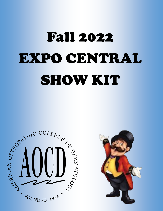## Fall 2022 EXPO CENTRAL SHOW KIT



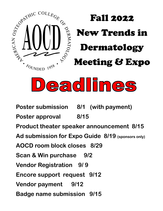



**Poster submission 8/1 (with payment)** Poster approval 8/15 **Product theater speaker announcement 8/15 Ad submission for Expo Guide 8/19 (sponsors only) AOCD room block closes 8/29 Scan & Win purchase 9/2 Vendor Registration 9/ 9 Encore support request 9/12 Vendor payment 9/12 Badge name submission 9/15**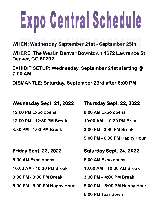# Expo Gentral Schedule

**WHEN: Wednesday September 21st - September 25th** 

**WHERE: The Westin Denver Downtown 1672 Lawrence St. Denver, CO 80202** 

**EXHIBIT SETUP: Wednesday, September 21st starting @ 7:00 AM** 

**DISMANTLE: Saturday, September 23rd after 6:00 PM** 

| <b>Wednesday Sept. 21, 2022</b> | Thursday Sept. 22, 2022                        |
|---------------------------------|------------------------------------------------|
| 12:00 PM Expo opens             | 8:00 AM Expo opens                             |
| 12:00 PM - 12:30 PM Break       | 10:00 AM - 10:30 PM Break                      |
| 3:30 PM - 4:00 PM Break         | 3:00 PM - 3:30 PM Break                        |
|                                 | 5:00 PM - 6:00 PM Happy Hour                   |
|                                 |                                                |
| <b>Friday Sept. 23, 2022</b>    | Saturday Sept. 24, 2022                        |
| 8:00 AM Expo opens              | 8:00 AM Expo opens                             |
| 10:00 AM - 10:30 PM Break       | 10:00 AM - 10:30 AM Break                      |
| 3:00 PM - 3:30 PM Break         | 3:30 PM - 4:00 PM Break                        |
| 5:00 PM - 6:00 PM Happy Hour    | $5:00 \text{ PM} - 6:00 \text{ PM}$ Happy Hour |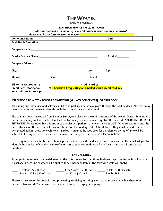### **THE WESTIN**

DENVER DOWNTOWN

#### **EXHIBITOR SERVICES REQUEST FORM**

Must be received a minimum of seven (7) business days prior to your arrival.

| <b>Conference Name:</b>                                                                                                                                                                                                                                                                                                                                                                                                            |  |  | Date:     |  |
|------------------------------------------------------------------------------------------------------------------------------------------------------------------------------------------------------------------------------------------------------------------------------------------------------------------------------------------------------------------------------------------------------------------------------------|--|--|-----------|--|
| <b>Exhibitor Information:</b>                                                                                                                                                                                                                                                                                                                                                                                                      |  |  |           |  |
| Company Name: 1988 Company Name: 1988 Company Name: 1988 Company Name: 1988 Company Name: 1988 Company Name: 1988 Company Name: 1988 Company Name: 1988 Company Name: 1988 Company Name: 1988 Company Name: 1988 Company Name:                                                                                                                                                                                                     |  |  |           |  |
|                                                                                                                                                                                                                                                                                                                                                                                                                                    |  |  | Booth $#$ |  |
| Company Address: Company Address: Company Address: Company Address: Company Address: Company Address: Company A                                                                                                                                                                                                                                                                                                                    |  |  |           |  |
|                                                                                                                                                                                                                                                                                                                                                                                                                                    |  |  |           |  |
| Phone: Phone: Phone: Phone: Phone: Phone: Phone: Phone: Phone: Phone: Phone: Phone: Phone: Phone: Phone: Phone: Phone: Phone: Phone: Phone: Phone: Phone: Phone: Phone: Phone: Phone: Phone: Phone: Phone: Phone: Phone: Phone                                                                                                                                                                                                     |  |  |           |  |
| Credit Card <b>D</b><br><b>Bill to: Guest room</b><br>$\Box$ . The contract of the contract of the contract of the contract of the contract of the contract of the contract of the contract of the contract of the contract of the contract of the contract of the contract of the co<br>$\Box$ Check box if requesting an emailed secure credit card link<br><b>Credit Card Information:</b><br><b>Email address for receipt:</b> |  |  |           |  |

#### DIRECTIONS TO WESTIN DENVER DOWNTOWN [at the TABOR CENTER] LOADING DOCK

All loading and unloading of displays, exhibits and packages must take place through the loading dock. No items may be unloaded from the front drive, through the main entrance to the hotel.

The Loading dock is accessed from Larimer Street, one block for the main entrance of the Westin Denver Downtown. Enter the loading dock on the left hand side of Larimer (Larimer is a one-way street) – marked TABOR CENTER TRUCK ENTRANCE. Please note that this entrance doubles as a parking garage entrance as well. Make sure to turn into the first entrance on the left. Vehicles cannot be left on the loading dock. After delivery, they must be parked in a designated parking area. Any vehicle left parked in an unauthorized area for a prolonged period of time will be subject to towing at owner's expense. The maximum height in the dock is 12 feet 6 inches.

If delivery is to occur after business hours, push the intercom at the dock entrance. A security officer will ask you to identify the number of vehicles, name of your company or event, driver's first & last name and a license plate number.

#### **BOX HANDLING**

Packages for meetings may be delivered to the Hotel no earlier than three business days prior to the function date. A package processing charge will be applied for all incoming items. The following scale will apply:

Envelopes \$5.00 each Boxes 1-25 lbs \$10.00 each

Case/Crates \$50.00 each 26-50 lbs \$20 each

\_\_\_\_\_\_ Pallets \$100.00 each 51+ lbs \$35 each

These charges cover the cost of labor, processing, receiving, tracking, storing and moving. Any box shipments expected to exceed 75 items must be handled through a drayage company.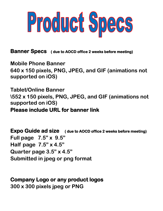

**Banner Specs ( due to AOCD office 2 weeks before meeting)** 

**Mobile Phone Banner 640 x 150 pixels, PNG, JPEG, and GIF (animations not supported on iOS)**

**Tablet/Online Banner \552 x 150 pixels, PNG, JPEG, and GIF (animations not supported on iOS) Please include URL for banner link** 

**Expo Guide ad size ( due to AOCD office 2 weeks before meeting) Full page 7.5" x 9.5" Half page 7.5" x 4.5" Quarter page 3.5" x 4.5" Submitted in jpeg or png format**

**Company Logo or any product logos 300 x 300 pixels jpeg or PNG**